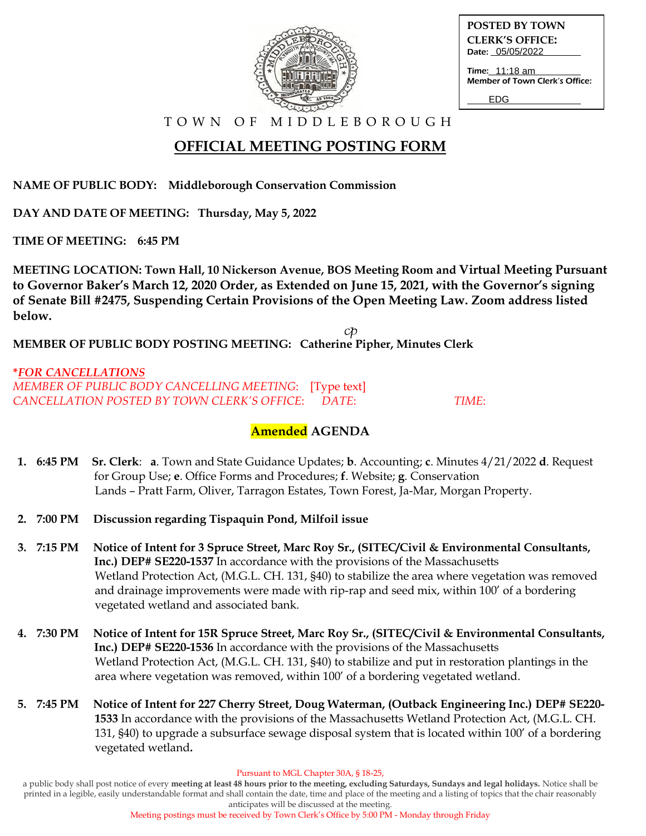

**POSTED BY TOWN CLERK'S OFFICE:** Date: 05/05/2022

Time: <u>11:18 am</u> Member of Town Clerk's Office:

EDG

T O W N O F M I D D L E B O R O U G H

# **OFFICIAL MEETING POSTING FORM**

**NAME OF PUBLIC BODY: Middleborough Conservation Commission**

**DAY AND DATE OF MEETING: Thursday, May 5, 2022**

**TIME OF MEETING: 6:45 PM**

**MEETING LOCATION: Town Hall, 10 Nickerson Avenue, BOS Meeting Room and Virtual Meeting Pursuant to Governor Baker's March 12, 2020 Order, as Extended on June 15, 2021, with the Governor's signing of Senate Bill #2475, Suspending Certain Provisions of the Open Meeting Law. Zoom address listed below.**

CD **MEMBER OF PUBLIC BODY POSTING MEETING: Catherine Pipher, Minutes Clerk**

**\****FOR CANCELLATIONS MEMBER OF PUBLIC BODY CANCELLING MEETING*: [Type text] *CANCELLATION POSTED BY TOWN CLERK'S OFFICE*: *DATE*: *TIME*:

## **Amended AGENDA**

- **1. 6:45 PM Sr. Clerk**: **a**. Town and State Guidance Updates; **b**. Accounting; **c**. Minutes 4/21/2022 **d**. Request for Group Use; **e**. Office Forms and Procedures; **f**. Website; **g**. Conservation Lands – Pratt Farm, Oliver, Tarragon Estates, Town Forest, Ja-Mar, Morgan Property.
- **2. 7:00 PM Discussion regarding Tispaquin Pond, Milfoil issue**
- **3. 7:15 PM Notice of Intent for 3 Spruce Street, Marc Roy Sr., (SITEC/Civil & Environmental Consultants, Inc.) DEP# SE220-1537** In accordance with the provisions of the Massachusetts Wetland Protection Act, (M.G.L. CH. 131, §40) to stabilize the area where vegetation was removed and drainage improvements were made with rip-rap and seed mix, within 100' of a bordering vegetated wetland and associated bank.
- **4. 7:30 PM Notice of Intent for 15R Spruce Street, Marc Roy Sr., (SITEC/Civil & Environmental Consultants, Inc.) DEP# SE220-1536** In accordance with the provisions of the Massachusetts Wetland Protection Act, (M.G.L. CH. 131, §40) to stabilize and put in restoration plantings in the area where vegetation was removed, within 100' of a bordering vegetated wetland.
- **5. 7:45 PM Notice of Intent for 227 Cherry Street, Doug Waterman, (Outback Engineering Inc.) DEP# SE220- 1533** In accordance with the provisions of the Massachusetts Wetland Protection Act, (M.G.L. CH. 131, §40) to upgrade a subsurface sewage disposal system that is located within 100' of a bordering vegetated wetland**.**

Pursuant to MGL Chapter 30A, § 18-25,

a public body shall post notice of every **meeting at least 48 hours prior to the meeting, excluding Saturdays, Sundays and legal holidays.** Notice shall be printed in a legible, easily understandable format and shall contain the date, time and place of the meeting and a listing of topics that the chair reasonably anticipates will be discussed at the meeting.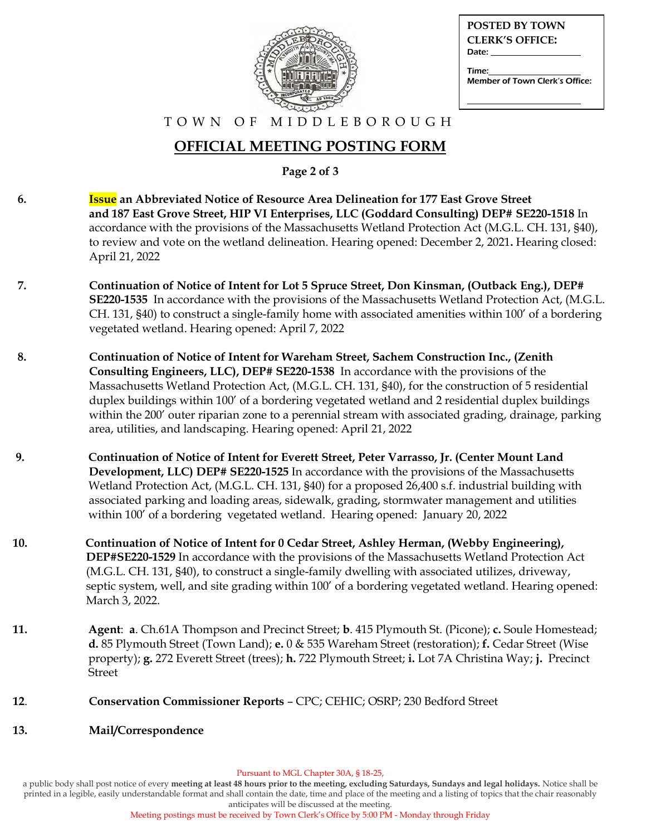

| <b>POSTED BY TOWN</b>                   |
|-----------------------------------------|
| <b>CLERK'S OFFICE:</b>                  |
| Date:                                   |
| Time:<br>Member of Town Clerk's Office: |

#### T O W N O F M I D D L E B O R O U G H

## **OFFICIAL MEETING POSTING FORM**

**Page 2 of 3**

- **6. Issue an Abbreviated Notice of Resource Area Delineation for 177 East Grove Street and 187 East Grove Street, HIP VI Enterprises, LLC (Goddard Consulting) DEP# SE220-1518** In accordance with the provisions of the Massachusetts Wetland Protection Act (M.G.L. CH. 131, §40), to review and vote on the wetland delineation. Hearing opened: December 2, 2021**.** Hearing closed: April 21, 2022
- **7. Continuation of Notice of Intent for Lot 5 Spruce Street, Don Kinsman, (Outback Eng.), DEP# SE220-1535** In accordance with the provisions of the Massachusetts Wetland Protection Act, (M.G.L. CH. 131, §40) to construct a single-family home with associated amenities within 100' of a bordering vegetated wetland. Hearing opened: April 7, 2022
- **8. Continuation of Notice of Intent for Wareham Street, Sachem Construction Inc., (Zenith Consulting Engineers, LLC), DEP# SE220-1538** In accordance with the provisions of the Massachusetts Wetland Protection Act, (M.G.L. CH. 131, §40), for the construction of 5 residential duplex buildings within 100' of a bordering vegetated wetland and 2 residential duplex buildings within the 200' outer riparian zone to a perennial stream with associated grading, drainage, parking area, utilities, and landscaping. Hearing opened: April 21, 2022
- **9. Continuation of Notice of Intent for Everett Street, Peter Varrasso, Jr. (Center Mount Land Development, LLC) DEP# SE220-1525** In accordance with the provisions of the Massachusetts Wetland Protection Act, (M.G.L. CH. 131, §40) for a proposed 26,400 s.f. industrial building with associated parking and loading areas, sidewalk, grading, stormwater management and utilities within 100' of a bordering vegetated wetland. Hearing opened: January 20, 2022
- **10. Continuation of Notice of Intent for 0 Cedar Street, Ashley Herman, (Webby Engineering), DEP#SE220-1529** In accordance with the provisions of the Massachusetts Wetland Protection Act (M.G.L. CH. 131, §40), to construct a single-family dwelling with associated utilizes, driveway, septic system, well, and site grading within 100' of a bordering vegetated wetland. Hearing opened: March 3, 2022.
- **11. Agent**: **a**. Ch.61A Thompson and Precinct Street; **b**. 415 Plymouth St. (Picone); **c.** Soule Homestead; **d.** 85 Plymouth Street (Town Land); **e.** 0 & 535 Wareham Street (restoration); **f.** Cedar Street (Wise property); **g.** 272 Everett Street (trees); **h.** 722 Plymouth Street; **i.** Lot 7A Christina Way; **j.** Precinct Street
- **12**. **Conservation Commissioner Reports** CPC; CEHIC; OSRP; 230 Bedford Street
- **13. Mail/Correspondence**

a public body shall post notice of every **meeting at least 48 hours prior to the meeting, excluding Saturdays, Sundays and legal holidays.** Notice shall be printed in a legible, easily understandable format and shall contain the date, time and place of the meeting and a listing of topics that the chair reasonably anticipates will be discussed at the meeting.